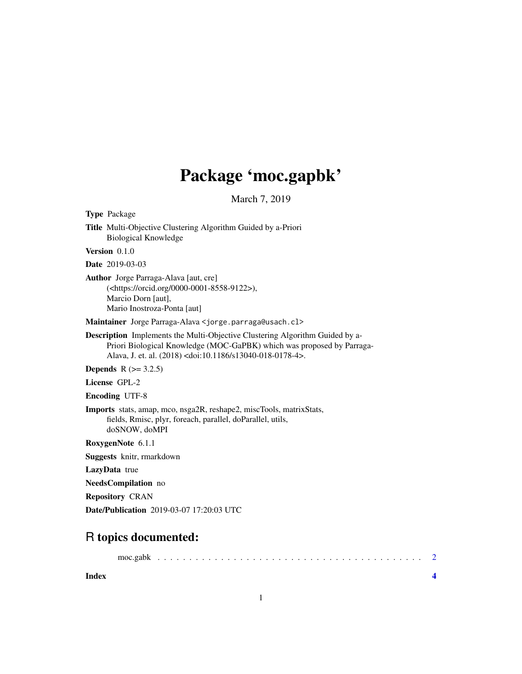## Package 'moc.gapbk'

March 7, 2019

Type Package

Title Multi-Objective Clustering Algorithm Guided by a-Priori Biological Knowledge

Version 0.1.0

Date 2019-03-03

Author Jorge Parraga-Alava [aut, cre] (<https://orcid.org/0000-0001-8558-9122>), Marcio Dorn [aut], Mario Inostroza-Ponta [aut]

Maintainer Jorge Parraga-Alava <jorge.parraga@usach.cl>

Description Implements the Multi-Objective Clustering Algorithm Guided by a-Priori Biological Knowledge (MOC-GaPBK) which was proposed by Parraga-Alava, J. et. al. (2018) <doi:10.1186/s13040-018-0178-4>.

**Depends** R  $(>= 3.2.5)$ 

License GPL-2

Encoding UTF-8

Imports stats, amap, mco, nsga2R, reshape2, miscTools, matrixStats, fields, Rmisc, plyr, foreach, parallel, doParallel, utils, doSNOW, doMPI

RoxygenNote 6.1.1

Suggests knitr, rmarkdown

LazyData true

NeedsCompilation no

Repository CRAN

Date/Publication 2019-03-07 17:20:03 UTC

### R topics documented:

moc.gabk . . . . . . . . . . . . . . . . . . . . . . . . . . . . . . . . . . . . . . . . . . [2](#page-1-0)

**Index** [4](#page-3-0)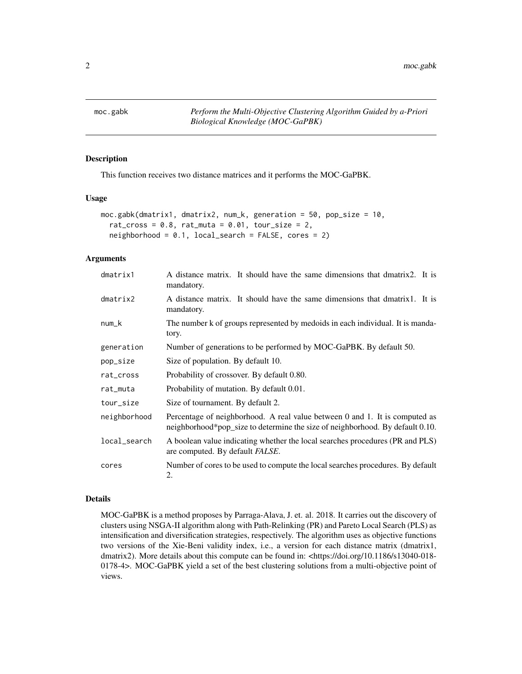<span id="page-1-0"></span>

#### Description

This function receives two distance matrices and it performs the MOC-GaPBK.

#### Usage

```
moc.gabk(dmatrix1, dmatrix2, num_k, generation = 50, pop_size = 10,
  rat_cross = 0.8, rat_muta = 0.01, tour_size = 2,
 neighborhood = 0.1, local\_search = FALSE, cores = 2)
```
#### Arguments

| dmatrix1     | A distance matrix. It should have the same dimensions that dmatrix2. It is<br>mandatory.                                                                     |
|--------------|--------------------------------------------------------------------------------------------------------------------------------------------------------------|
| dmatrix2     | A distance matrix. It should have the same dimensions that dmatrix1. It is<br>mandatory.                                                                     |
| $num_k$      | The number k of groups represented by medoids in each individual. It is manda-<br>tory.                                                                      |
| generation   | Number of generations to be performed by MOC-GaPBK. By default 50.                                                                                           |
| pop_size     | Size of population. By default 10.                                                                                                                           |
| rat_cross    | Probability of crossover. By default 0.80.                                                                                                                   |
| rat_muta     | Probability of mutation. By default 0.01.                                                                                                                    |
| tour_size    | Size of tournament. By default 2.                                                                                                                            |
| neighborhood | Percentage of neighborhood. A real value between 0 and 1. It is computed as<br>neighborhood*pop_size to determine the size of neighborhood. By default 0.10. |
| local_search | A boolean value indicating whether the local searches procedures (PR and PLS)<br>are computed. By default <i>FALSE</i> .                                     |
| cores        | Number of cores to be used to compute the local searches procedures. By default<br>2.                                                                        |

#### Details

MOC-GaPBK is a method proposes by Parraga-Alava, J. et. al. 2018. It carries out the discovery of clusters using NSGA-II algorithm along with Path-Relinking (PR) and Pareto Local Search (PLS) as intensification and diversification strategies, respectively. The algorithm uses as objective functions two versions of the Xie-Beni validity index, i.e., a version for each distance matrix (dmatrix1, dmatrix2). More details about this compute can be found in: <https://doi.org/10.1186/s13040-018-0178-4>. MOC-GaPBK yield a set of the best clustering solutions from a multi-objective point of views.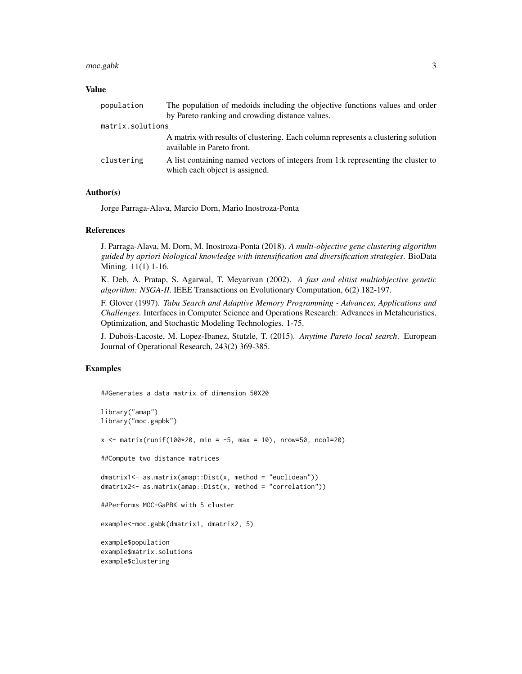#### moc.gabk 3

#### Value

| population       | The population of medoids including the objective functions values and order                                        |
|------------------|---------------------------------------------------------------------------------------------------------------------|
|                  | by Pareto ranking and crowding distance values.                                                                     |
| matrix.solutions |                                                                                                                     |
|                  | A matrix with results of clustering. Each column represents a clustering solution<br>available in Pareto front.     |
| clustering       | A list containing named vectors of integers from 1: k representing the cluster to<br>which each object is assigned. |

#### Author(s)

Jorge Parraga-Alava, Marcio Dorn, Mario Inostroza-Ponta

#### References

J. Parraga-Alava, M. Dorn, M. Inostroza-Ponta (2018). *A multi-objective gene clustering algorithm guided by apriori biological knowledge with intensification and diversification strategies*. BioData Mining. 11(1) 1-16.

K. Deb, A. Pratap, S. Agarwal, T. Meyarivan (2002). *A fast and elitist multiobjective genetic algorithm: NSGA-II*. IEEE Transactions on Evolutionary Computation, 6(2) 182-197.

F. Glover (1997). *Tabu Search and Adaptive Memory Programming - Advances, Applications and Challenges*. Interfaces in Computer Science and Operations Research: Advances in Metaheuristics, Optimization, and Stochastic Modeling Technologies. 1-75.

J. Dubois-Lacoste, M. Lopez-Ibanez, Stutzle, T. (2015). *Anytime Pareto local search*. European Journal of Operational Research, 243(2) 369-385.

#### Examples

##Generates a data matrix of dimension 50X20

```
library("amap")
library("moc.gapbk")
x <- matrix(runif(100*20, min = -5, max = 10), nrow=50, ncol=20)
##Compute two distance matrices
dmatrix1<- as.matrix(amap::Dist(x, method = "euclidean"))
dmatrix2<- as.matrix(amap::Dist(x, method = "correlation"))
##Performs MOC-GaPBK with 5 cluster
example<-moc.gabk(dmatrix1, dmatrix2, 5)
example$population
example$matrix.solutions
example$clustering
```